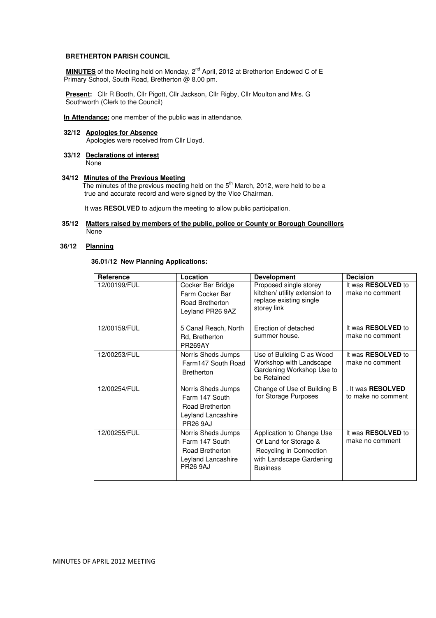#### **BRETHERTON PARISH COUNCIL**

**MINUTES** of the Meeting held on Monday, 2<sup>nd</sup> April, 2012 at Bretherton Endowed C of E Primary School, South Road, Bretherton @ 8.00 pm.

 **Present:** Cllr R Booth, Cllr Pigott, Cllr Jackson, Cllr Rigby, Cllr Moulton and Mrs. G Southworth (Clerk to the Council)

 **In Attendance:** one member of the public was in attendance.

# **32/12 Apologies for Absence** Apologies were received from Cllr Lloyd.

 **33/12 Declarations of interest** None

#### **34/12 Minutes of the Previous Meeting**

The minutes of the previous meeting held on the 5<sup>th</sup> March, 2012, were held to be a true and accurate record and were signed by the Vice Chairman.

It was **RESOLVED** to adjourn the meeting to allow public participation.

#### **35/12 Matters raised by members of the public, police or County or Borough Councillors** None

#### **36/12 Planning**

## **36.01/12 New Planning Applications:**

| Reference    | Location                                                                                         | <b>Development</b>                                                                                                           | <b>Decision</b>                                |
|--------------|--------------------------------------------------------------------------------------------------|------------------------------------------------------------------------------------------------------------------------------|------------------------------------------------|
| 12/00199/FUL | Cocker Bar Bridge<br>Farm Cocker Bar<br>Road Bretherton<br>Leyland PR26 9AZ                      | Proposed single storey<br>kitchen/ utility extension to<br>replace existing single<br>storey link                            | It was <b>RESOLVED</b> to<br>make no comment   |
| 12/00159/FUL | 5 Canal Reach, North<br>Rd, Bretherton<br><b>PR269AY</b>                                         | Erection of detached<br>summer house.                                                                                        | It was RESOLVED to<br>make no comment          |
| 12/00253/FUL | Norris Sheds Jumps<br>Farm147 South Road<br><b>Bretherton</b>                                    | Use of Building C as Wood<br>Workshop with Landscape<br>Gardening Workshop Use to<br>be Retained                             | It was RESOLVED to<br>make no comment          |
| 12/00254/FUL | Norris Sheds Jumps<br>Farm 147 South<br>Road Bretherton<br>Leyland Lancashire<br><b>PR26 9AJ</b> | Change of Use of Building B<br>for Storage Purposes                                                                          | . It was <b>RESOLVED</b><br>to make no comment |
| 12/00255/FUL | Norris Sheds Jumps<br>Farm 147 South<br>Road Bretherton<br>Leyland Lancashire<br><b>PR26 9AJ</b> | Application to Change Use<br>Of Land for Storage &<br>Recycling in Connection<br>with Landscape Gardening<br><b>Business</b> | It was <b>RESOLVED</b> to<br>make no comment   |